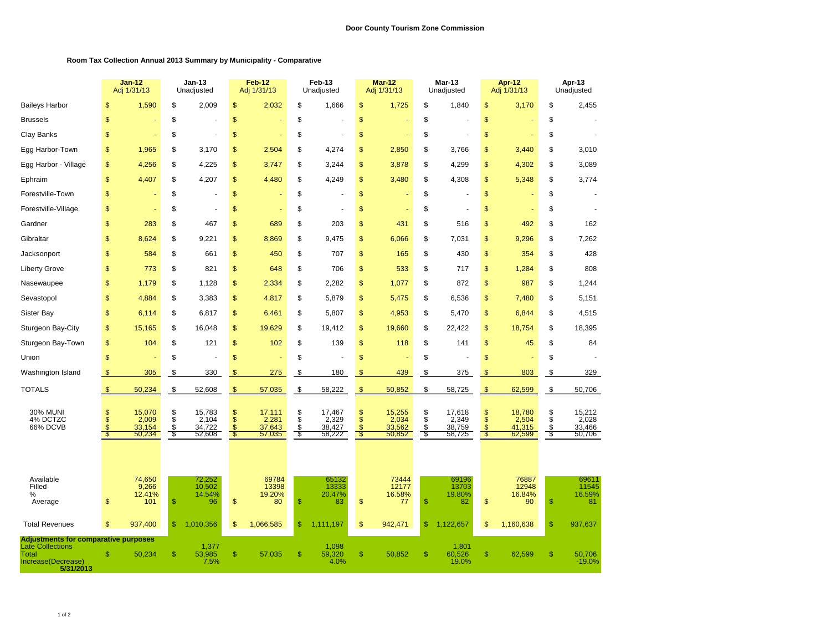## **Room Tax Collection Annual 2013 Summary by Municipality - Comparative**

|                                                                                                                    |                | <b>Jan-12</b><br>Adj 1/31/13        |                              | <b>Jan-13</b><br>Unadjusted         |                                        | Feb-12<br>Adj 1/31/13               |                              | Feb-13<br>Unadjusted                |                | Mar-12<br>Adj 1/31/13               |                      | Mar-13<br>Unadjusted                |                           | Apr-12<br>Adj 1/31/13               |                | Apr-13<br>Unadjusted                |
|--------------------------------------------------------------------------------------------------------------------|----------------|-------------------------------------|------------------------------|-------------------------------------|----------------------------------------|-------------------------------------|------------------------------|-------------------------------------|----------------|-------------------------------------|----------------------|-------------------------------------|---------------------------|-------------------------------------|----------------|-------------------------------------|
| <b>Baileys Harbor</b>                                                                                              | \$             | 1,590                               | \$                           | 2,009                               | \$                                     | 2,032                               | \$                           | 1,666                               | \$             | 1,725                               | \$                   | 1,840                               | \$                        | 3,170                               | \$             | 2,455                               |
| Brussels                                                                                                           | \$             |                                     | \$                           |                                     | \$                                     |                                     | \$                           |                                     | \$             |                                     | \$                   |                                     | \$                        |                                     | \$             |                                     |
| Clay Banks                                                                                                         | \$             |                                     | \$                           |                                     | \$                                     |                                     | \$                           |                                     | \$             |                                     | \$                   |                                     | \$                        |                                     | \$             |                                     |
| Egg Harbor-Town                                                                                                    | \$             | 1,965                               | S                            | 3,170                               | \$                                     | 2,504                               | \$                           | 4,274                               | \$             | 2,850                               | \$                   | 3,766                               | \$                        | 3,440                               | \$             | 3,010                               |
| Egg Harbor - Village                                                                                               | \$             | 4,256                               | \$                           | 4,225                               | \$                                     | 3,747                               | \$                           | 3,244                               | \$             | 3,878                               | \$                   | 4,299                               | \$                        | 4,302                               | \$             | 3,089                               |
| Ephraim                                                                                                            | \$             | 4,407                               | \$                           | 4,207                               | \$                                     | 4,480                               | \$                           | 4,249                               | \$             | 3,480                               | \$                   | 4,308                               | \$                        | 5,348                               | \$             | 3,774                               |
| Forestville-Town                                                                                                   | \$             |                                     | \$                           |                                     | \$                                     |                                     | \$                           |                                     | \$             |                                     | \$                   |                                     | \$                        |                                     | \$             |                                     |
| Forestville-Village                                                                                                | \$             |                                     | \$                           |                                     | \$                                     |                                     | \$                           |                                     | \$             |                                     | \$                   |                                     | \$                        |                                     | \$             |                                     |
| Gardner                                                                                                            | \$             | 283                                 | \$                           | 467                                 | \$                                     | 689                                 | \$                           | 203                                 | \$             | 431                                 | \$                   | 516                                 | \$                        | 492                                 | \$             | 162                                 |
| Gibraltar                                                                                                          | \$             | 8,624                               | \$                           | 9,221                               | \$                                     | 8,869                               | \$                           | 9,475                               | \$             | 6,066                               | \$                   | 7,031                               | \$                        | 9,296                               | \$             | 7,262                               |
| Jacksonport                                                                                                        | \$             | 584                                 | \$                           | 661                                 | \$                                     | 450                                 | \$                           | 707                                 | \$             | 165                                 | \$                   | 430                                 | \$                        | 354                                 | \$             | 428                                 |
| <b>Liberty Grove</b>                                                                                               | \$             | 773                                 | \$                           | 821                                 | \$                                     | 648                                 | \$                           | 706                                 | \$             | 533                                 | \$                   | 717                                 | \$                        | 1,284                               | \$             | 808                                 |
| Nasewaupee                                                                                                         | \$             | 1,179                               | \$                           | 1,128                               | \$                                     | 2,334                               | \$                           | 2,282                               | \$             | 1,077                               | \$                   | 872                                 | \$                        | 987                                 | \$             | 1,244                               |
| Sevastopol                                                                                                         | \$             | 4,884                               | \$                           | 3,383                               | \$                                     | 4,817                               | \$                           | 5,879                               | \$             | 5,475                               | \$                   | 6,536                               | \$                        | 7,480                               | \$             | 5,151                               |
| Sister Bay                                                                                                         | \$             | 6,114                               | \$                           | 6,817                               | \$                                     | 6,461                               | \$                           | 5,807                               | \$             | 4,953                               | \$                   | 5,470                               | \$                        | 6,844                               | \$             | 4,515                               |
| Sturgeon Bay-City                                                                                                  | \$             | 15,165                              | \$                           | 16,048                              | \$                                     | 19,629                              | \$                           | 19,412                              | \$             | 19,660                              | \$                   | 22,422                              | \$                        | 18,754                              | \$             | 18,395                              |
| Sturgeon Bay-Town                                                                                                  | \$             | 104                                 | \$                           | 121                                 | \$                                     | 102                                 | \$                           | 139                                 | \$             | 118                                 | \$                   | 141                                 | \$                        | 45                                  | \$             | 84                                  |
| Union                                                                                                              | \$             |                                     | \$                           |                                     | \$                                     |                                     | \$                           |                                     | \$             |                                     | \$                   |                                     | \$                        |                                     | \$             |                                     |
| Washington Island                                                                                                  | $\mathbf{\$}$  | 305                                 | \$                           | 330                                 | \$                                     | 275                                 | \$                           | 180                                 | \$             | 439                                 | \$                   | 375                                 | $\frac{1}{2}$             | 803                                 | \$             | 329                                 |
| <b>TOTALS</b>                                                                                                      | $\sqrt[6]{3}$  | 50,234                              | $$\mathbb{S}$$               | 52,608                              | $\frac{1}{2}$                          | 57,035                              | $$\mathbb{S}$$               | 58,222                              | $\frac{1}{2}$  | 50,852                              | \$                   | 58,725                              | $\frac{1}{2}$             | 62,599                              | $\frac{1}{2}$  | 50,706                              |
| <b>30% MUNI</b><br>4% DCTZC<br>66% DCVB                                                                            | \$<br>\$<br>\$ | 15,070<br>2,009<br>33,154<br>50,234 | \$<br>$\ddot{s}$<br>\$<br>\$ | 15,783<br>2,104<br>34,722<br>52,608 | \$<br>$\dot{s}$<br>\$<br>$\sqrt[6]{3}$ | 17,111<br>2,281<br>37,643<br>57,035 | \$<br>$\ddot{s}$<br>\$<br>\$ | 17,467<br>2,329<br>38,427<br>58,222 | \$<br>\$<br>\$ | 15,255<br>2,034<br>33,562<br>50,852 | \$<br>\$<br>\$<br>\$ | 17,618<br>2,349<br>38,759<br>58,725 | \$<br>\$<br>$\sqrt[6]{3}$ | 18,780<br>2,504<br>41,315<br>62,599 | \$<br>\$<br>\$ | 15,212<br>2,028<br>33,466<br>50,706 |
| Available<br>Filled<br>%<br>Average                                                                                | \$             | 74,650<br>9,266<br>12.41%<br>101    | $\frac{1}{2}$                | 72,252<br>10,502<br>14.54%<br>96    | \$                                     | 69784<br>13398<br>19.20%<br>80      | $\frac{1}{2}$                | 65132<br>13333<br>20.47%<br>83      | \$             | 73444<br>12177<br>16.58%<br>77      | \$                   | 69196<br>13703<br>19.80%<br>82      | \$                        | 76887<br>12948<br>16.84%<br>90      | \$             | 69611<br>11545<br>16.59%<br>81      |
| <b>Total Revenues</b>                                                                                              | \$             | 937,400                             | $\frac{1}{2}$                | 1,010,356                           | \$                                     | 1,066,585                           | \$                           | 1,111,197                           | \$             | 942,471                             | \$                   | 1,122,657                           | \$                        | 1,160,638                           | \$             | 937,637                             |
| <b>Adjustments for comparative purposes</b><br><b>Late Collections</b><br>Total<br>Increase(Decrease)<br>5/31/2013 | \$             | 50,234                              | $\mathbb{S}$                 | 1,377<br>53,985<br>7.5%             | \$                                     | 57,035                              | \$                           | 1,098<br>59,320<br>4.0%             | \$             | 50,852                              | \$                   | 1,801<br>60,526<br>19.0%            | \$                        | 62,599                              | \$             | 50,706<br>$-19.0%$                  |